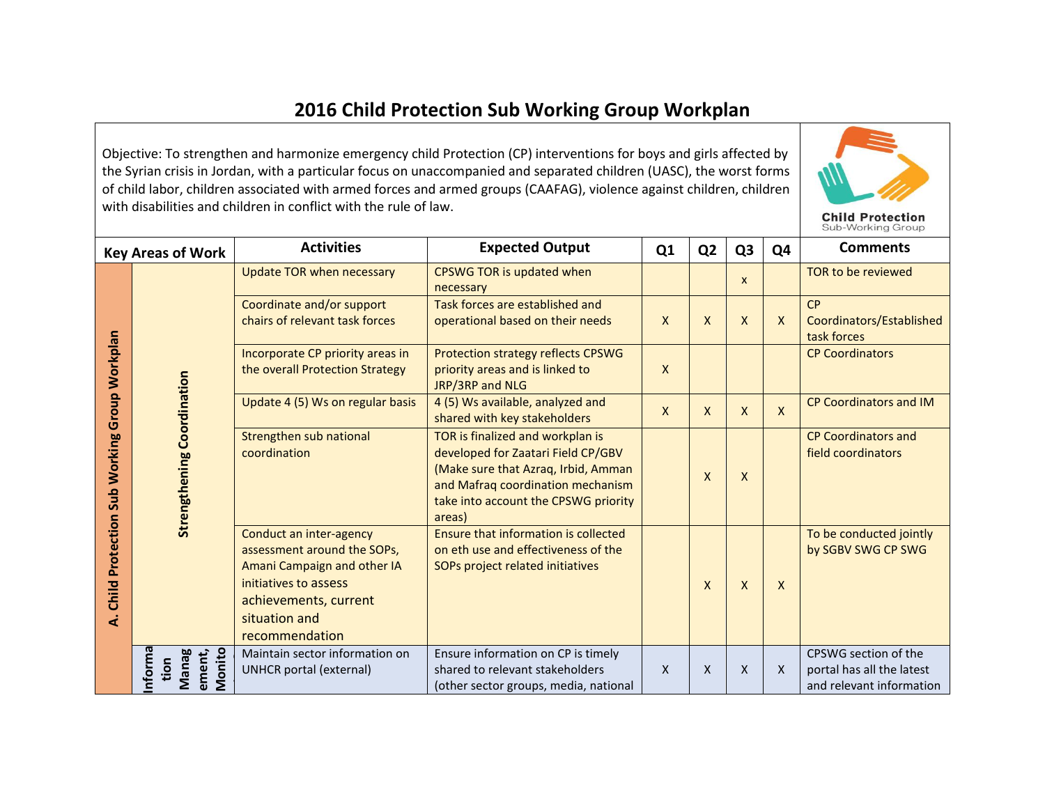## **2016 Child Protection Sub Working Group Workplan**

Objective: To strengthen and harmonize emergency child Protection (CP) interventions for boys and girls affected by the Syrian crisis in Jordan, with a particular focus on unaccompanied and separated children (UASC), the worst forms of child labor, children associated with armed forces and armed groups (CAAFAG), violence against children, children with disabilities and children in conflict with the rule of law.



|                                                            | <b>Key Areas of Work</b>                                                                                                                                                                                                                                                                                                                                                                                                                                          | <b>Activities</b>                                                                        | <b>Expected Output</b>                                                                                                                                                                               | Q <sub>1</sub> | Q <sub>2</sub> | Q <sub>3</sub> | Q4                            | <b>Comments</b>                                                               |
|------------------------------------------------------------|-------------------------------------------------------------------------------------------------------------------------------------------------------------------------------------------------------------------------------------------------------------------------------------------------------------------------------------------------------------------------------------------------------------------------------------------------------------------|------------------------------------------------------------------------------------------|------------------------------------------------------------------------------------------------------------------------------------------------------------------------------------------------------|----------------|----------------|----------------|-------------------------------|-------------------------------------------------------------------------------|
|                                                            | Update TOR when necessary<br>Coordinate and/or support<br>chairs of relevant task forces<br>Incorporate CP priority areas in<br>the overall Protection Strategy<br><b>Strengthening Coordination</b><br>Update 4 (5) Ws on regular basis<br>Strengthen sub national<br>coordination<br>Conduct an inter-agency<br>assessment around the SOPs,<br>Amani Campaign and other IA<br>initiatives to assess<br>achievements, current<br>situation and<br>recommendation |                                                                                          | CPSWG TOR is updated when<br>necessary                                                                                                                                                               |                |                | $\mathsf{x}$   |                               | TOR to be reviewed                                                            |
|                                                            |                                                                                                                                                                                                                                                                                                                                                                                                                                                                   |                                                                                          | Task forces are established and<br>operational based on their needs                                                                                                                                  | $\mathsf{x}$   | X              | $\mathsf{X}$   | $\mathsf{x}$                  | CP<br>Coordinators/Established<br>task forces                                 |
|                                                            |                                                                                                                                                                                                                                                                                                                                                                                                                                                                   | Protection strategy reflects CPSWG<br>priority areas and is linked to<br>JRP/3RP and NLG | X                                                                                                                                                                                                    |                |                |                | <b>CP Coordinators</b>        |                                                                               |
|                                                            |                                                                                                                                                                                                                                                                                                                                                                                                                                                                   | 4 (5) Ws available, analyzed and<br>shared with key stakeholders                         | $\mathsf{x}$                                                                                                                                                                                         | X              | $\mathsf{X}$   | $\mathsf{X}$   | <b>CP Coordinators and IM</b> |                                                                               |
| Sub Working Group Workplan<br><b>Child Protection</b><br>خ |                                                                                                                                                                                                                                                                                                                                                                                                                                                                   |                                                                                          | TOR is finalized and workplan is<br>developed for Zaatari Field CP/GBV<br>(Make sure that Azraq, Irbid, Amman<br>and Mafraq coordination mechanism<br>take into account the CPSWG priority<br>areas) |                | X              | $\mathsf{X}$   |                               | <b>CP Coordinators and</b><br>field coordinators                              |
|                                                            |                                                                                                                                                                                                                                                                                                                                                                                                                                                                   |                                                                                          | Ensure that information is collected<br>on eth use and effectiveness of the<br>SOPs project related initiatives                                                                                      |                | $\mathsf{x}$   | X              | $\mathsf{X}$                  | To be conducted jointly<br>by SGBV SWG CP SWG                                 |
|                                                            | Informa<br>Monito<br>ement,<br><b>Manag</b><br>tion                                                                                                                                                                                                                                                                                                                                                                                                               | Maintain sector information on<br><b>UNHCR</b> portal (external)                         | Ensure information on CP is timely<br>shared to relevant stakeholders<br>(other sector groups, media, national                                                                                       | $\mathsf{x}$   | X              | X              | $\mathsf{x}$                  | CPSWG section of the<br>portal has all the latest<br>and relevant information |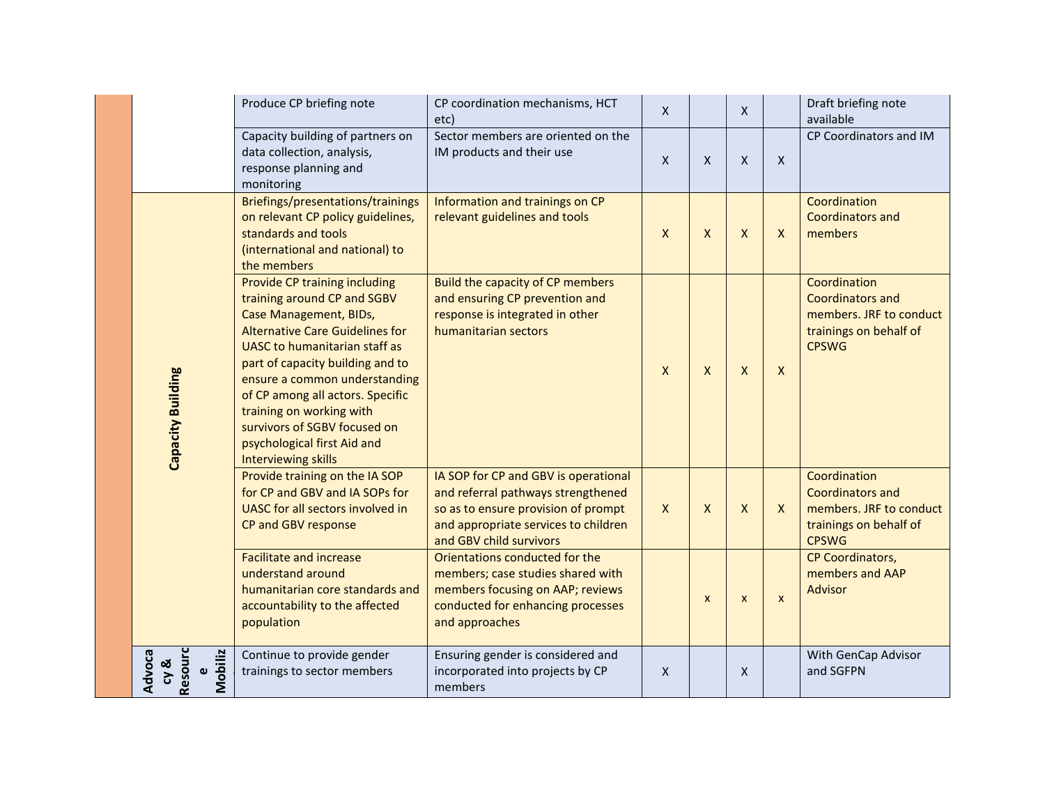|                                                  | Produce CP briefing note                                                                                                                                                                                                                                                                                                                                                                            | CP coordination mechanisms, HCT<br>etc)                                                                                                                                              | $\mathsf{x}$ |              | $\mathsf{X}$              |              | Draft briefing note<br>available                                                                             |
|--------------------------------------------------|-----------------------------------------------------------------------------------------------------------------------------------------------------------------------------------------------------------------------------------------------------------------------------------------------------------------------------------------------------------------------------------------------------|--------------------------------------------------------------------------------------------------------------------------------------------------------------------------------------|--------------|--------------|---------------------------|--------------|--------------------------------------------------------------------------------------------------------------|
|                                                  | Capacity building of partners on<br>data collection, analysis,<br>response planning and<br>monitoring                                                                                                                                                                                                                                                                                               | Sector members are oriented on the<br>IM products and their use                                                                                                                      | $\mathsf{x}$ | $\mathsf{X}$ | $\boldsymbol{\mathsf{X}}$ | $\mathsf{x}$ | CP Coordinators and IM                                                                                       |
|                                                  | Briefings/presentations/trainings<br>on relevant CP policy guidelines,<br>standards and tools<br>(international and national) to<br>the members                                                                                                                                                                                                                                                     | Information and trainings on CP<br>relevant guidelines and tools                                                                                                                     | $\mathsf{x}$ | X            | $\mathsf{X}$              | $\mathsf{X}$ | Coordination<br><b>Coordinators and</b><br>members                                                           |
| Capacity Building                                | Provide CP training including<br>training around CP and SGBV<br><b>Case Management, BIDs,</b><br><b>Alternative Care Guidelines for</b><br>UASC to humanitarian staff as<br>part of capacity building and to<br>ensure a common understanding<br>of CP among all actors. Specific<br>training on working with<br>survivors of SGBV focused on<br>psychological first Aid and<br>Interviewing skills | Build the capacity of CP members<br>and ensuring CP prevention and<br>response is integrated in other<br>humanitarian sectors                                                        | $\mathsf{x}$ | X            | $\boldsymbol{X}$          | $\mathsf{x}$ | Coordination<br><b>Coordinators and</b><br>members. JRF to conduct<br>trainings on behalf of<br><b>CPSWG</b> |
|                                                  | Provide training on the IA SOP<br>for CP and GBV and IA SOPs for<br>UASC for all sectors involved in<br>CP and GBV response                                                                                                                                                                                                                                                                         | IA SOP for CP and GBV is operational<br>and referral pathways strengthened<br>so as to ensure provision of prompt<br>and appropriate services to children<br>and GBV child survivors | $\mathsf{X}$ | $\mathsf{x}$ | $\boldsymbol{\mathsf{X}}$ | $\mathsf{X}$ | Coordination<br><b>Coordinators and</b><br>members. JRF to conduct<br>trainings on behalf of<br><b>CPSWG</b> |
|                                                  | <b>Facilitate and increase</b><br>understand around<br>humanitarian core standards and<br>accountability to the affected<br>population                                                                                                                                                                                                                                                              | Orientations conducted for the<br>members; case studies shared with<br>members focusing on AAP; reviews<br>conducted for enhancing processes<br>and approaches                       |              | X            | $\pmb{\times}$            | $\mathsf{x}$ | CP Coordinators,<br>members and AAP<br><b>Advisor</b>                                                        |
| Resourc<br>Mobiliz<br>Advoca<br>cy &<br>$\omega$ | Continue to provide gender<br>trainings to sector members                                                                                                                                                                                                                                                                                                                                           | Ensuring gender is considered and<br>incorporated into projects by CP<br>members                                                                                                     | X            |              | X                         |              | With GenCap Advisor<br>and SGFPN                                                                             |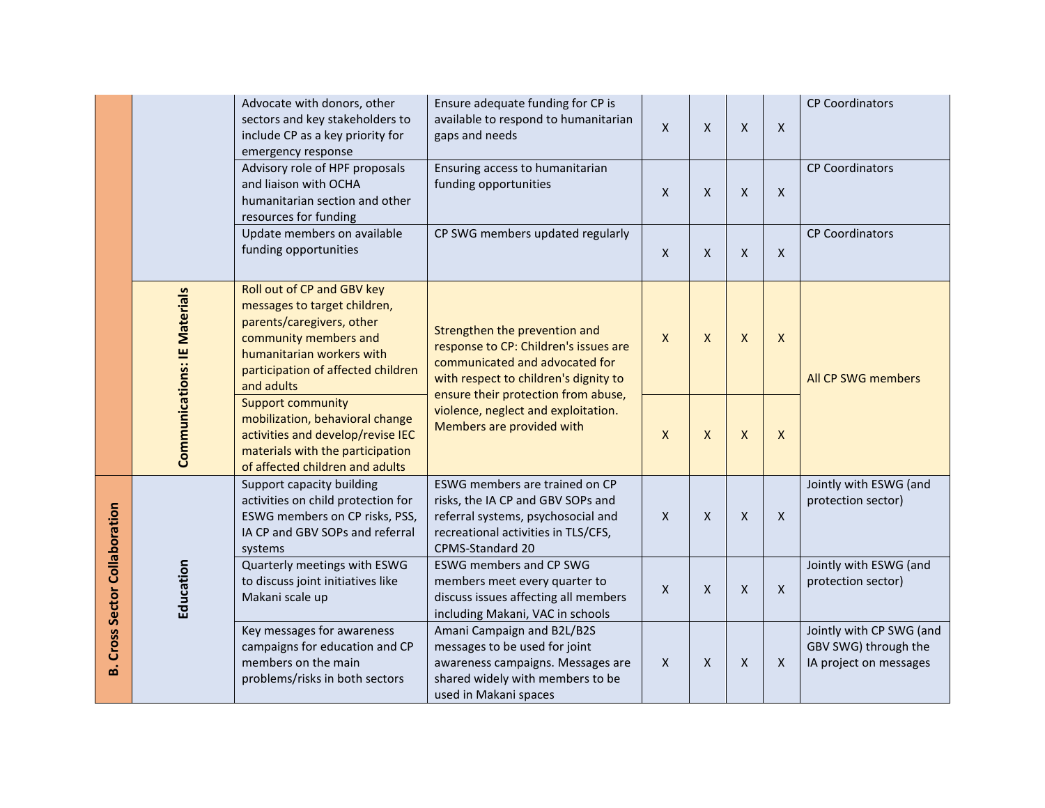|                                  |                                                                                                                                                                                                                            | Advocate with donors, other<br>sectors and key stakeholders to<br>include CP as a key priority for<br>emergency response                                                | Ensure adequate funding for CP is<br>available to respond to humanitarian<br>gaps and needs                                                                                                                                                                  | $\mathsf{x}$                                      | $\pmb{\mathsf{X}}$                           | $\mathsf{X}$              | X                                            | <b>CP Coordinators</b>                                                     |
|----------------------------------|----------------------------------------------------------------------------------------------------------------------------------------------------------------------------------------------------------------------------|-------------------------------------------------------------------------------------------------------------------------------------------------------------------------|--------------------------------------------------------------------------------------------------------------------------------------------------------------------------------------------------------------------------------------------------------------|---------------------------------------------------|----------------------------------------------|---------------------------|----------------------------------------------|----------------------------------------------------------------------------|
|                                  |                                                                                                                                                                                                                            | Advisory role of HPF proposals<br>and liaison with OCHA<br>humanitarian section and other<br>resources for funding                                                      | Ensuring access to humanitarian<br>funding opportunities                                                                                                                                                                                                     | $\mathsf{X}$                                      | $\mathsf{x}$                                 | $\boldsymbol{\mathsf{X}}$ | X                                            | <b>CP Coordinators</b>                                                     |
|                                  |                                                                                                                                                                                                                            | Update members on available<br>funding opportunities                                                                                                                    | CP SWG members updated regularly                                                                                                                                                                                                                             | $\mathsf{X}$                                      | X                                            | X                         | X                                            | <b>CP Coordinators</b>                                                     |
|                                  | Roll out of CP and GBV key<br><b>Communications: IE Materials</b><br>parents/caregivers, other<br>community members and<br>humanitarian workers with<br>and adults                                                         | messages to target children,<br>participation of affected children                                                                                                      | Strengthen the prevention and<br>response to CP: Children's issues are<br>communicated and advocated for<br>with respect to children's dignity to<br>ensure their protection from abuse,<br>violence, neglect and exploitation.<br>Members are provided with | $\mathsf{X}$                                      | $\mathsf{x}$                                 | $\boldsymbol{\mathsf{X}}$ | X                                            | All CP SWG members                                                         |
|                                  |                                                                                                                                                                                                                            | <b>Support community</b><br>mobilization, behavioral change<br>activities and develop/revise IEC<br>materials with the participation<br>of affected children and adults |                                                                                                                                                                                                                                                              | X                                                 | X                                            | X                         | X                                            |                                                                            |
| Cross Sector Collaboration<br>മ് |                                                                                                                                                                                                                            | Support capacity building<br>activities on child protection for<br>ESWG members on CP risks, PSS,<br>IA CP and GBV SOPs and referral<br>systems                         | ESWG members are trained on CP<br>risks, the IA CP and GBV SOPs and<br>referral systems, psychosocial and<br>recreational activities in TLS/CFS,<br>CPMS-Standard 20                                                                                         | $\mathsf{x}$<br>$\mathsf{x}$<br>X<br>$\mathsf{x}$ | Jointly with ESWG (and<br>protection sector) |                           |                                              |                                                                            |
|                                  | Education<br>Quarterly meetings with ESWG<br>to discuss joint initiatives like<br>Makani scale up<br>Key messages for awareness<br>campaigns for education and CP<br>members on the main<br>problems/risks in both sectors | <b>ESWG members and CP SWG</b><br>members meet every quarter to<br>discuss issues affecting all members<br>including Makani, VAC in schools                             | $\mathsf{X}$                                                                                                                                                                                                                                                 | $\mathsf{x}$                                      | $\mathsf{x}$                                 | X                         | Jointly with ESWG (and<br>protection sector) |                                                                            |
|                                  |                                                                                                                                                                                                                            |                                                                                                                                                                         | Amani Campaign and B2L/B2S<br>messages to be used for joint<br>awareness campaigns. Messages are<br>shared widely with members to be<br>used in Makani spaces                                                                                                | $\mathsf{X}$                                      | X                                            | X                         | X                                            | Jointly with CP SWG (and<br>GBV SWG) through the<br>IA project on messages |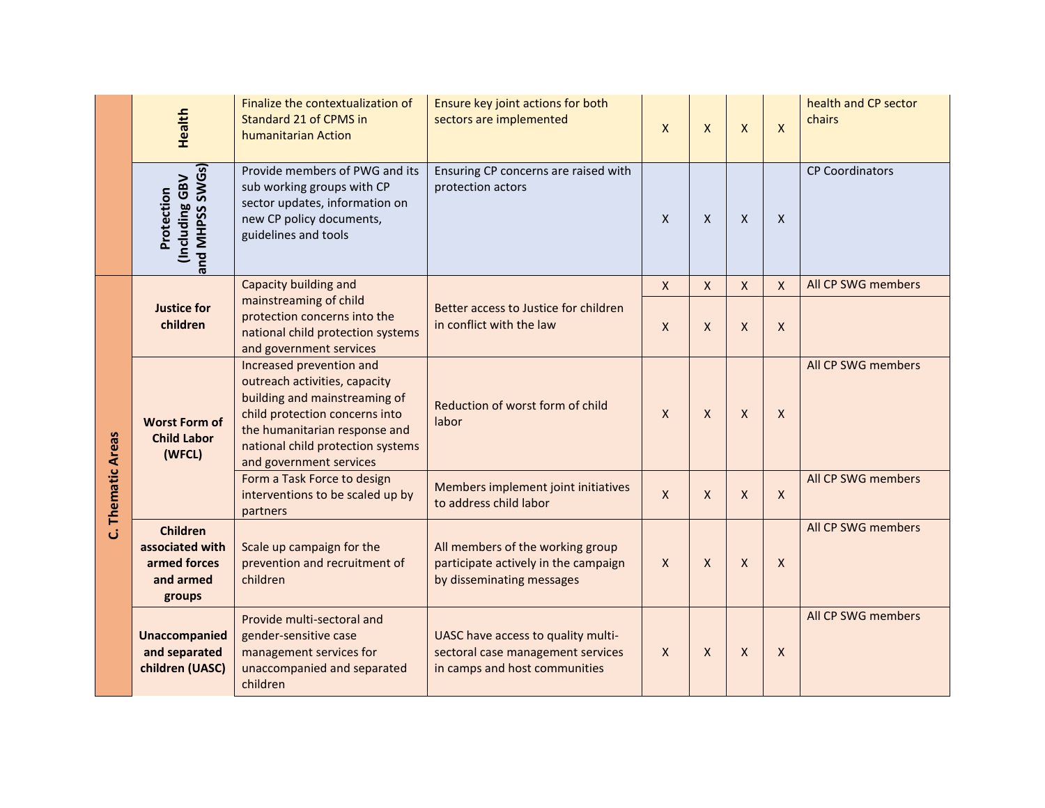|                       | <b>Health</b>                                                             | Finalize the contextualization of<br>Standard 21 of CPMS in<br>humanitarian Action                                                                                                                                            | Ensure key joint actions for both<br>sectors are implemented                                             | $\mathsf{X}$ | $\mathsf{X}$ | X                  | $\mathsf{X}$ | health and CP sector<br>chairs |
|-----------------------|---------------------------------------------------------------------------|-------------------------------------------------------------------------------------------------------------------------------------------------------------------------------------------------------------------------------|----------------------------------------------------------------------------------------------------------|--------------|--------------|--------------------|--------------|--------------------------------|
|                       | and MHPSS SWGs)<br><b>Including GBV</b><br>Protection                     | Provide members of PWG and its<br>sub working groups with CP<br>sector updates, information on<br>new CP policy documents,<br>guidelines and tools                                                                            | Ensuring CP concerns are raised with<br>protection actors                                                | $\mathsf{X}$ | $\mathsf{X}$ | X                  | X            | <b>CP Coordinators</b>         |
|                       | <b>Justice for</b>                                                        | Capacity building and<br>mainstreaming of child                                                                                                                                                                               | Better access to Justice for children                                                                    | $\mathsf{X}$ | X            | X                  | $\mathsf X$  | All CP SWG members             |
|                       | children                                                                  | protection concerns into the<br>national child protection systems<br>and government services                                                                                                                                  | in conflict with the law<br>$\mathsf{X}$                                                                 | X            | $\mathsf{X}$ | $\mathsf{X}$       |              |                                |
|                       | <b>Worst Form of</b><br><b>Child Labor</b><br>(WFCL)                      | Increased prevention and<br>outreach activities, capacity<br>building and mainstreaming of<br>child protection concerns into<br>the humanitarian response and<br>national child protection systems<br>and government services | Reduction of worst form of child<br>labor                                                                | $\mathsf{X}$ | $\mathsf{x}$ | $\mathsf{x}$       | X            | All CP SWG members             |
| <b>Thematic Areas</b> |                                                                           | Form a Task Force to design<br>interventions to be scaled up by<br>partners                                                                                                                                                   | Members implement joint initiatives<br>$\mathsf{X}$<br>X<br>to address child labor                       | X            | X            | All CP SWG members |              |                                |
| ن                     | <b>Children</b><br>associated with<br>armed forces<br>and armed<br>groups | Scale up campaign for the<br>prevention and recruitment of<br>children                                                                                                                                                        | All members of the working group<br>participate actively in the campaign<br>by disseminating messages    | $\mathsf{X}$ | $\mathsf{X}$ | $\times$           | X            | All CP SWG members             |
|                       | <b>Unaccompanied</b><br>and separated<br>children (UASC)                  | Provide multi-sectoral and<br>gender-sensitive case<br>management services for<br>unaccompanied and separated<br>children                                                                                                     | UASC have access to quality multi-<br>sectoral case management services<br>in camps and host communities | $\mathsf{X}$ | $\mathsf{X}$ | X                  | X            | All CP SWG members             |